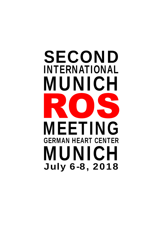# INTERNATIONAL MUNICH MUNICH **IEETING** GERMAN HEART CENTER SECOND July 6-8, 2018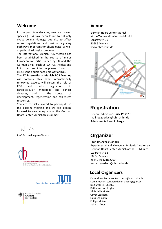#### **Welcome**

In the past two decades, reactive oxygen species (ROS) have been found to not only evoke cellular damage but also to affect redox regulations and various signaling pathways important for physiological as well as pathophysiological processes.

The International Munich ROS Meeting has been established in the course of major European consortia funded by EU and the German BMBF such as EU‐ROS, Acidox and Epiros as an interdisciplinary forum to discuss the double‐faced biology of ROS.

The **2nd International Munich ROS Meeting** will continue this path. Internationally renowned experts will discuss the role of ROS and redox regulations in cardiovascular, metabolic and cancer diseases, and in the context of development, regeneration and cell stress responses.

You are cordially invited to participate in this exciting meeting and we are looking forward to welcoming you at the German Heart Center Munich this summer!

HLLL

Prof. Dr. med. Agnes Görlach **Organizer** 





Bundesministerium für Bildung und Forschung

#### **Venue**

German Heart Center Munich at the Technical University Munich Lazarettstr. 36 80636 Munich www.dhm.mhn.de



### **Registration**

General admission: **July 1st, 2018** mail to: goerlach@dhm.mhn.de **Admission is free of charge**

Prof. Dr. Agnes Görlach Experimental and Molecular Pediatric Cardiology German Heart Center Munich at the TU Munich Lazarettstr. 36 80636 Munich p: +49 89 1218 2700 e‐mail: goerlach@dhm.mhn.de

#### **Local Organizers**

Dr. Andreas Petry: contact: petry@dhm.mhn.de Damir Kracun: contact: damir.kracun@gmx.de Dr. Sarala Raj Murthy Katharina Hochkogler Silvia della Morte Oliver Czarnecki Luisa Lehmann Philipp Mutzel Sebahat Özer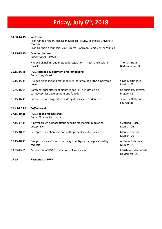# **Friday, July 6th , 2018**

| 14.00-14.15 | Welcome<br>Prof. Ulrike Protzer, Vice Dean Medical Faculty, Technical University<br>Munich<br>Prof. Heribert Schunkert, Vice Director, German Heart Center Munich |                                          |
|-------------|-------------------------------------------------------------------------------------------------------------------------------------------------------------------|------------------------------------------|
| 14.15-15.15 | <b>Opening lecture</b><br>Chair: Agnes Görlach                                                                                                                    |                                          |
|             | Hypoxic signalling and metabolic regulation in heart and skeletal<br>muscle                                                                                       | <b>Thomas Braun</b><br>Bad Nauheim, DE   |
| 15.15-16.45 | ROS, cardiac development and remodeling<br>Chair: Jozef Dulak                                                                                                     |                                          |
| 15.15-15.45 | Hypoxia signaling and metabolic reprogramming of the embryonic<br>heart                                                                                           | Silvia Martin-Puig,<br>Madrid, ES        |
| 15.45-16.15 | Combinatorial effects of diabetes and Hif1a mutation on<br>cardiovascular development and function                                                                | Gabriela Pavlinkova,<br>Prague, CZ       |
| 16.15-16.45 | Cardiac remodeling, nitric oxide synthases and oxidant stress                                                                                                     | Jean-Luc Balligand,<br>Leuven, BE        |
| 16.45-17.15 | Coffee break                                                                                                                                                      |                                          |
| 17.15-19.15 | ROS, redox and cell stress<br>Chair: Thomas Kietzmann                                                                                                             |                                          |
| 17.15-17.45 | A novel brown adipose tissue specific mechanism regulating<br>autophagy                                                                                           | Siegfried Ussar,<br>Munich, DE           |
| 17.45-18.15 | Ferroptosis mechanisms and pathophysiological relevance                                                                                                           | Marcus Conrad,<br>Munich, DE             |
| 18.15-18.45 | Oxeiptosis – a cell death pathway to mitigate damage caused by<br>radicals                                                                                        | Andreas Pichlmair,<br>Munich, DE         |
| 18.45-19.15 | On the role of ROS in induction of liver cancer                                                                                                                   | Matthias Heikenwälder,<br>Heidelberg, DE |
|             |                                                                                                                                                                   |                                          |

*19.15 Reception at DHM*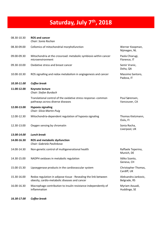# **Saturday, July 7th , 2018**

| 08.30-10.30 | <b>ROS and cancer</b><br>Chair: Sonia Rochan                                                                     |                                      |
|-------------|------------------------------------------------------------------------------------------------------------------|--------------------------------------|
| 08.30-09.00 | Cellomics of mitochondrial morphofunction                                                                        | Werner Koopman,<br>Nijmegen, NL      |
| 09.00-09.30 | Mitochondria at the crossroad: metabolic symbiosis within cancer<br>microenvironment                             | Paola Chiarugi,<br>Florence, IT      |
| 09.30-10.00 | Oxidative stress and breast cancer                                                                               | Semir Vranic,<br>Doha, QA            |
| 10.00-10.30 | ROS signalling and redox metabolism in angiogenesis and cancer                                                   | Massimo Santoro,<br>Padova, IT       |
| 10.30-11.00 | Coffee break                                                                                                     |                                      |
| 11.00-12.00 | <b>Keynote lecture</b><br>Chair: Stefan Burdach                                                                  |                                      |
|             | Translational control of the oxidative stress response--common<br>pathways across diverse diseases               | Poul Sørensen,<br>Vancouver, CA      |
| 12.00-13.00 | <b>Hypoxia signaling</b><br>Chair: Silvia Martin-Puig                                                            |                                      |
| 12.00-12.30 | Mitochondria-dependent regulation of hypoxia signaling                                                           | Thomas Kietzmann,<br>Oulu, FI        |
| 12.30-13.00 | Oxygen sensing by chromatin                                                                                      | Sonia Rocha,<br>Liverpool, UK        |
| 13.00-14.00 | <b>Lunch break</b>                                                                                               |                                      |
| 14.00-16.30 | <b>ROS and metabolic dysfunction</b><br>Chair: Gabriela Pavlinkova                                               |                                      |
| 14.00-14.30 | Non-genetic control of multigenerational health                                                                  | Raffaele Teperino,<br>Munich, DE     |
| 14.30-15.00 | NADPH oxidases in metabolic regulation                                                                           | Ildiko Szanto,<br>Geneva, CH         |
| 15.00-15.30 | Lipoxygenase products in the cardiovascular system                                                               | Christopher Thomas,<br>Cardiff, UK   |
| 15.30-16.00 | Redox regulation in adipose tissue - Revealing the link between<br>obesity, cardio-metabolic diseases and cancer | Aleksandra Jankovic,<br>Belgrade, RS |
| 16.00-16.30 | Macrophage contribution to insulin resistance independently of<br>inflammation                                   | Myriam Aouadi,<br>Huddinge, SE       |
|             |                                                                                                                  |                                      |

*16.30‐17.00 Coffee break*